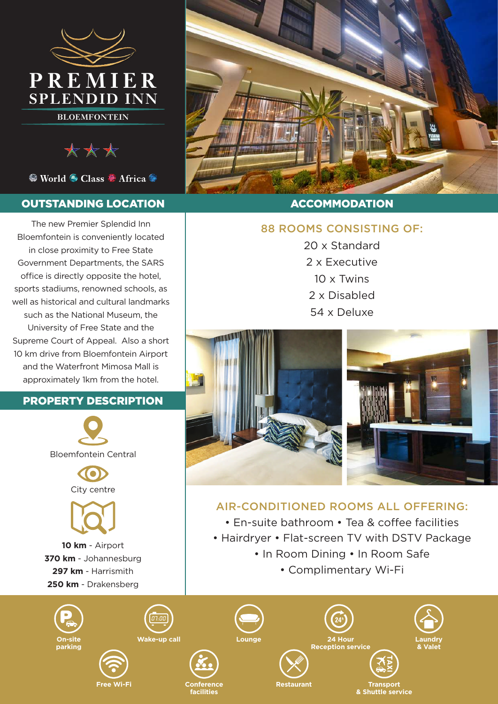

**BLOEMFONTEIN**

\*\*\*

● World ● Class ● Africa ●

## OUTSTANDING LOCATION

The new Premier Splendid Inn Bloemfontein is conveniently located in close proximity to Free State Government Departments, the SARS office is directly opposite the hotel, sports stadiums, renowned schools, as well as historical and cultural landmarks such as the National Museum, the University of Free State and the Supreme Court of Appeal. Also a short 10 km drive from Bloemfontein Airport and the Waterfront Mimosa Mall is approximately 1km from the hotel.

### PROPERTY DESCRIPTION







**10 km** - Airport **370 km** - Johannesburg **297 km** - Harrismith **250 km** - Drakensberg



## ACCOMMODATION

## 88 ROOMS CONSISTING OF:

20 x Standard 2 x Executive 10 x Twins 2 x Disabled 54 x Deluxe



# AIR-CONDITIONED ROOMS ALL OFFERING:

- En-suite bathroom Tea & coffee facilities
- Hairdryer Flat-screen TV with DSTV Package
	- In Room Dining In Room Safe
		- Complimentary Wi-Fi

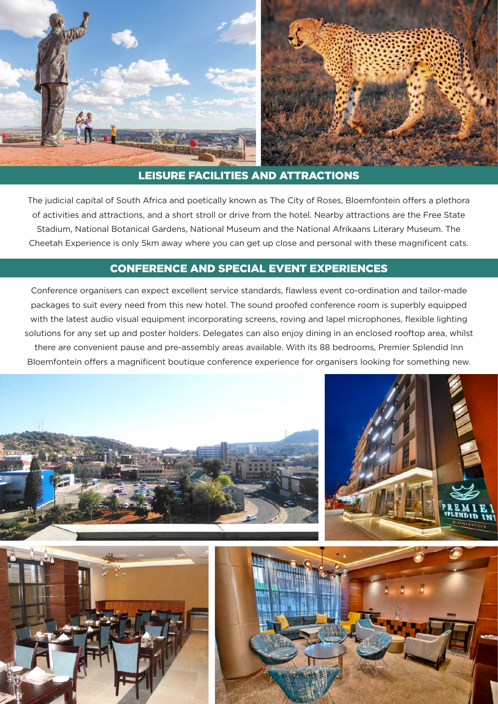

### LEISURE FACILITIES AND ATTRACTIONS

The judicial capital of South Africa and poetically known as The City of Roses, Bloemfontein offers a plethora of activities and attractions, and a short stroll or drive from the hotel. Nearby attractions are the Free State Stadium, National Botanical Gardens, National Museum and the National Afrikaans Literary Museum. The Cheetah Experience is only 5km away where you can get up close and personal with these magnificent cats.

### CONFERENCE AND SPECIAL EVENT EXPERIENCES

Conference organisers can expect excellent service standards, flawless event co-ordination and tailor-made packages to suit every need from this new hotel. The sound proofed conference room is superbly equipped with the latest audio visual equipment incorporating screens, roving and lapel microphones, flexible lighting solutions for any set up and poster holders. Delegates can also enjoy dining in an enclosed rooftop area, whilst there are convenient pause and pre-assembly areas available. With its 88 bedrooms, Premier Splendid Inn Bloemfontein offers a magnificent boutique conference experience for organisers looking for something new.